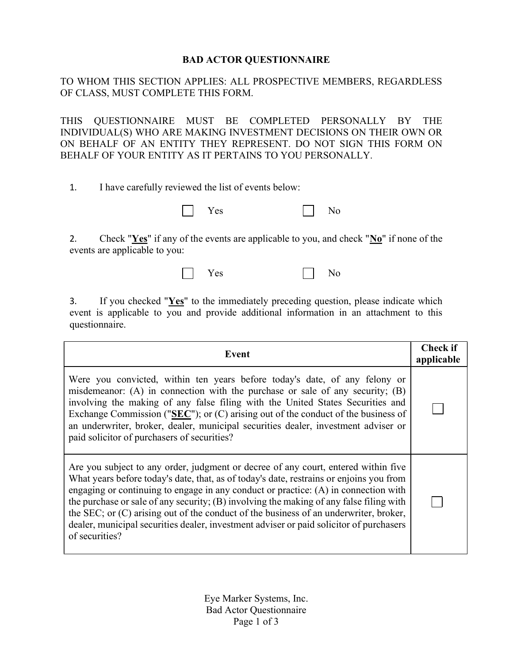## BAD ACTOR QUESTIONNAIRE

TO WHOM THIS SECTION APPLIES: ALL PROSPECTIVE MEMBERS, REGARDLESS OF CLASS, MUST COMPLETE THIS FORM.

THIS QUESTIONNAIRE MUST BE COMPLETED PERSONALLY BY THE INDIVIDUAL(S) WHO ARE MAKING INVESTMENT DECISIONS ON THEIR OWN OR ON BEHALF OF AN ENTITY THEY REPRESENT. DO NOT SIGN THIS FORM ON BEHALF OF YOUR ENTITY AS IT PERTAINS TO YOU PERSONALLY.

1. I have carefully reviewed the list of events below:



2. Check " $Yes$ " if any of the events are applicable to you, and check " $N_0$ " if none of the events are applicable to you:

| <b>Yes</b> | A <sub>T</sub><br>ง∩<br>-<br>- |
|------------|--------------------------------|
|------------|--------------------------------|

3. If you checked " $Yes$ " to the immediately preceding question, please indicate which</u> event is applicable to you and provide additional information in an attachment to this questionnaire.

| Event                                                                                                                                                                                                                                                                                                                                                                                                                                                                                                                                                                 |  |
|-----------------------------------------------------------------------------------------------------------------------------------------------------------------------------------------------------------------------------------------------------------------------------------------------------------------------------------------------------------------------------------------------------------------------------------------------------------------------------------------------------------------------------------------------------------------------|--|
| Were you convicted, within ten years before today's date, of any felony or<br>misdemeanor: $(A)$ in connection with the purchase or sale of any security; $(B)$<br>involving the making of any false filing with the United States Securities and<br>Exchange Commission (" $\overline{\text{SEC}}$ "); or (C) arising out of the conduct of the business of<br>an underwriter, broker, dealer, municipal securities dealer, investment adviser or<br>paid solicitor of purchasers of securities?                                                                     |  |
| Are you subject to any order, judgment or decree of any court, entered within five<br>What years before today's date, that, as of today's date, restrains or enjoins you from<br>engaging or continuing to engage in any conduct or practice: (A) in connection with<br>the purchase or sale of any security; (B) involving the making of any false filing with<br>the SEC; or (C) arising out of the conduct of the business of an underwriter, broker,<br>dealer, municipal securities dealer, investment adviser or paid solicitor of purchasers<br>of securities? |  |

Eye Marker Systems, Inc. Bad Actor Questionnaire Page 1 of 3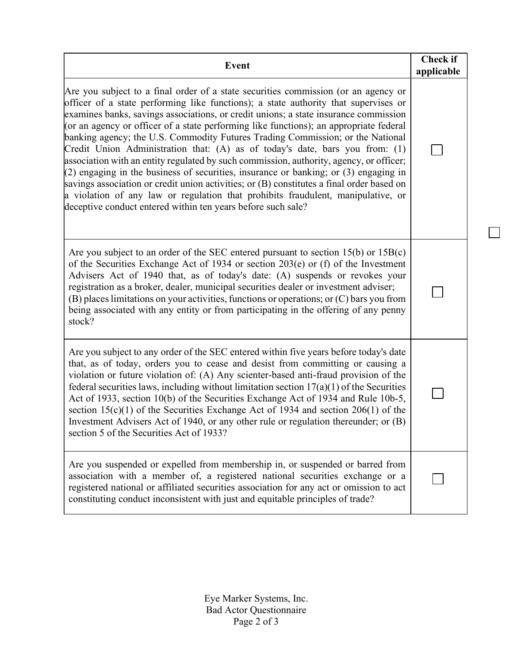| <b>Event</b>                                                                                                                                                                                                                                                                                                                                                                                                                                                                                                                                                                                                                                                                                                                                                                                                                                                                                                                                                        | <b>Check if</b><br>applicable |
|---------------------------------------------------------------------------------------------------------------------------------------------------------------------------------------------------------------------------------------------------------------------------------------------------------------------------------------------------------------------------------------------------------------------------------------------------------------------------------------------------------------------------------------------------------------------------------------------------------------------------------------------------------------------------------------------------------------------------------------------------------------------------------------------------------------------------------------------------------------------------------------------------------------------------------------------------------------------|-------------------------------|
| Are you subject to a final order of a state securities commission (or an agency or<br>officer of a state performing like functions); a state authority that supervises or<br>examines banks, savings associations, or credit unions; a state insurance commission<br>(or an agency or officer of a state performing like functions); an appropriate federal<br>banking agency; the U.S. Commodity Futures Trading Commission; or the National<br>Credit Union Administration that: (A) as of today's date, bars you from: (1)<br>association with an entity regulated by such commission, authority, agency, or officer;<br>$(2)$ engaging in the business of securities, insurance or banking; or (3) engaging in<br>savings association or credit union activities; or (B) constitutes a final order based on<br>a violation of any law or regulation that prohibits fraudulent, manipulative, or<br>deceptive conduct entered within ten years before such sale? |                               |
| Are you subject to an order of the SEC entered pursuant to section $15(b)$ or $15B(c)$<br>of the Securities Exchange Act of 1934 or section 203(e) or (f) of the Investment<br>Advisers Act of 1940 that, as of today's date: (A) suspends or revokes your<br>registration as a broker, dealer, municipal securities dealer or investment adviser;<br>$(B)$ places limitations on your activities, functions or operations; or $(C)$ bars you from<br>being associated with any entity or from participating in the offering of any penny<br>stock?                                                                                                                                                                                                                                                                                                                                                                                                                 |                               |
| Are you subject to any order of the SEC entered within five years before today's date<br>that, as of today, orders you to cease and desist from committing or causing a<br>violation or future violation of: (A) Any scienter-based anti-fraud provision of the<br>federal securities laws, including without limitation section $17(a)(1)$ of the Securities<br>Act of 1933, section 10(b) of the Securities Exchange Act of 1934 and Rule 10b-5,<br>section $15(c)(1)$ of the Securities Exchange Act of 1934 and section 206(1) of the<br>Investment Advisers Act of 1940, or any other rule or regulation thereunder; or (B)<br>section 5 of the Securities Act of 1933?                                                                                                                                                                                                                                                                                        |                               |
| Are you suspended or expelled from membership in, or suspended or barred from<br>association with a member of, a registered national securities exchange or a<br>registered national or affiliated securities association for any act or omission to act<br>constituting conduct inconsistent with just and equitable principles of trade?                                                                                                                                                                                                                                                                                                                                                                                                                                                                                                                                                                                                                          |                               |

┑

Eye Marker Systems, Inc. Bad Actor Questionnaire Page 2 of 3